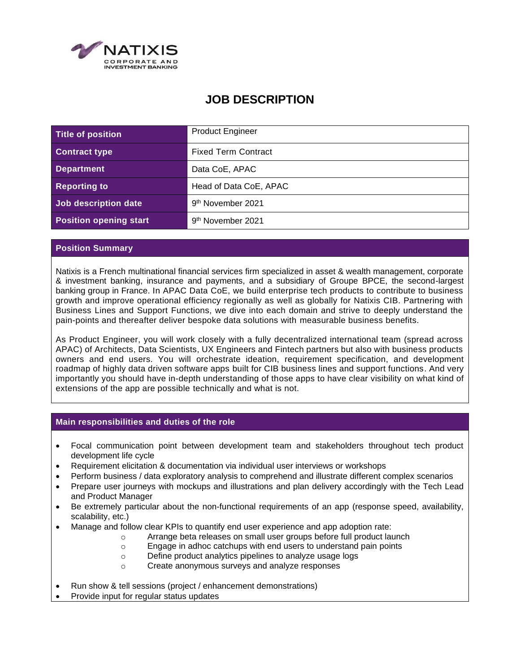

# **JOB DESCRIPTION**

| Title of position             | <b>Product Engineer</b>       |
|-------------------------------|-------------------------------|
| <b>Contract type</b>          | <b>Fixed Term Contract</b>    |
| <b>Department</b>             | Data CoE, APAC                |
| <b>Reporting to</b>           | Head of Data CoE, APAC        |
| Job description date          | 9 <sup>th</sup> November 2021 |
| <b>Position opening start</b> | 9 <sup>th</sup> November 2021 |

# **Position Summary**

Natixis is a French multinational financial services firm specialized in asset & wealth management, corporate & investment banking, insurance and payments, and a subsidiary of Groupe BPCE, the second-largest banking group in France. In APAC Data CoE, we build enterprise tech products to contribute to business growth and improve operational efficiency regionally as well as globally for Natixis CIB. Partnering with Business Lines and Support Functions, we dive into each domain and strive to deeply understand the pain-points and thereafter deliver bespoke data solutions with measurable business benefits.

As Product Engineer, you will work closely with a fully decentralized international team (spread across APAC) of Architects, Data Scientists, UX Engineers and Fintech partners but also with business products owners and end users. You will orchestrate ideation, requirement specification, and development roadmap of highly data driven software apps built for CIB business lines and support functions. And very importantly you should have in-depth understanding of those apps to have clear visibility on what kind of extensions of the app are possible technically and what is not.

#### **Main responsibilities and duties of the role**

- Focal communication point between development team and stakeholders throughout tech product development life cycle
- Requirement elicitation & documentation via individual user interviews or workshops
- Perform business / data exploratory analysis to comprehend and illustrate different complex scenarios
- Prepare user journeys with mockups and illustrations and plan delivery accordingly with the Tech Lead and Product Manager
- Be extremely particular about the non-functional requirements of an app (response speed, availability, scalability, etc.)
- Manage and follow clear KPIs to quantify end user experience and app adoption rate:
	- o Arrange beta releases on small user groups before full product launch
	- o Engage in adhoc catchups with end users to understand pain points
		- o Define product analytics pipelines to analyze usage logs
		- o Create anonymous surveys and analyze responses
- Run show & tell sessions (project / enhancement demonstrations)
- Provide input for regular status updates